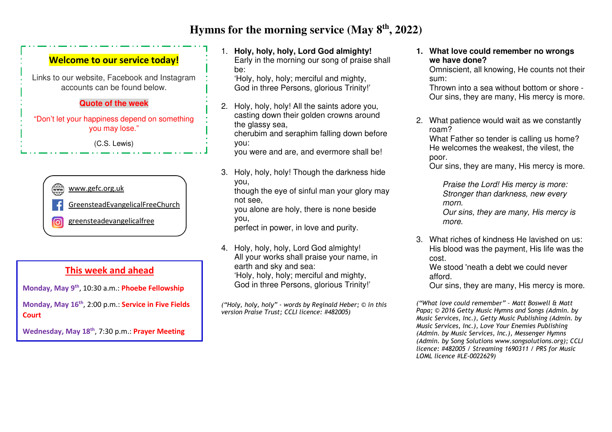# **Hymns for the morning service (May 8th, 2022)**

## **Welcome to our service today!**

Links to our website, Facebook and Instagram accounts can be found below.

#### **Quote of the week**

"Don't let your happiness depend on something you may lose."

(C.S. Lewis)



## **This week and ahead**

**Monday, May 9th**, 10:30 a.m.: **Phoebe Fellowship** 

**Monday, May 16th**, 2:00 p.m.: **Service in Five Fields Court** 

**Wednesday, May 18th**, 7:30 p.m.: **Prayer Meeting** 

1. **Holy, holy, holy, Lord God almighty!** Early in the morning our song of praise shall be:

 'Holy, holy, holy; merciful and mighty, God in three Persons, glorious Trinity!'

2. Holy, holy, holy! All the saints adore you, casting down their golden crowns around the glassy sea, cherubim and seraphim falling down before you:

you were and are, and evermore shall be!

3. Holy, holy, holy! Though the darkness hide you,

 though the eye of sinful man your glory may not see,

 you alone are holy, there is none beside you, perfect in power, in love and purity.

4. Holy, holy, holy, Lord God almighty! All your works shall praise your name, in earth and sky and sea: 'Holy, holy, holy; merciful and mighty, God in three Persons, glorious Trinity!'

*("Holy, holy, holy" - words by Reginald Heber; © in this version Praise Trust; CCLI licence: #482005)* 

**1. What love could remember no wrongs we have done?** 

 Omniscient, all knowing, He counts not their sum:

 Thrown into a sea without bottom or shore - Our sins, they are many, His mercy is more.

2. What patience would wait as we constantly roam?

 What Father so tender is calling us home? He welcomes the weakest, the vilest, the poor.

Our sins, they are many, His mercy is more.

*Praise the Lord! His mercy is more: Stronger than darkness, new every morn.* 

 *Our sins, they are many, His mercy is more.* 

3. What riches of kindness He lavished on us: His blood was the payment, His life was the cost.

 We stood 'neath a debt we could never afford.

Our sins, they are many, His mercy is more.

*("What love could remember" – Matt Boswell & Matt Papa; © 2016 Getty Music Hymns and Songs (Admin. by Music Services, Inc.), Getty Music Publishing (Admin. by Music Services, Inc.), Love Your Enemies Publishing (Admin. by Music Services, Inc.), Messenger Hymns (Admin. by Song Solutions www.songsolutions.org); CCLI licence: #482005 / Streaming 1690311 / PRS for Music LOML licence #LE-0022629)*